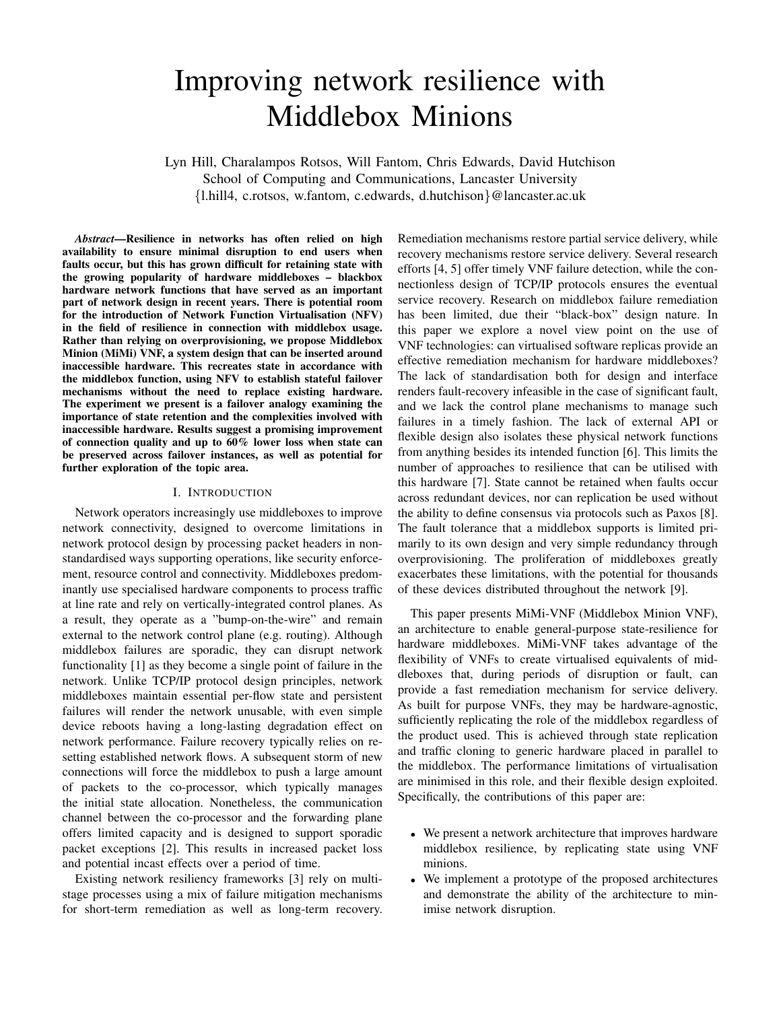# Improving network resilience with Middlebox Minions

Lyn Hill, Charalampos Rotsos, Will Fantom, Chris Edwards, David Hutchison School of Computing and Communications, Lancaster University {l.hill4, c.rotsos, w.fantom, c.edwards, d.hutchison}@lancaster.ac.uk

*Abstract*—Resilience in networks has often relied on high availability to ensure minimal disruption to end users when faults occur, but this has grown difficult for retaining state with the growing popularity of hardware middleboxes – blackbox hardware network functions that have served as an important part of network design in recent years. There is potential room for the introduction of Network Function Virtualisation (NFV) in the field of resilience in connection with middlebox usage. Rather than relying on overprovisioning, we propose Middlebox Minion (MiMi) VNF, a system design that can be inserted around inaccessible hardware. This recreates state in accordance with the middlebox function, using NFV to establish stateful failover mechanisms without the need to replace existing hardware. The experiment we present is a failover analogy examining the importance of state retention and the complexities involved with inaccessible hardware. Results suggest a promising improvement of connection quality and up to 60% lower loss when state can be preserved across failover instances, as well as potential for further exploration of the topic area.

# I. INTRODUCTION

Network operators increasingly use middleboxes to improve network connectivity, designed to overcome limitations in network protocol design by processing packet headers in nonstandardised ways supporting operations, like security enforcement, resource control and connectivity. Middleboxes predominantly use specialised hardware components to process traffic at line rate and rely on vertically-integrated control planes. As a result, they operate as a "bump-on-the-wire" and remain external to the network control plane (e.g. routing). Although middlebox failures are sporadic, they can disrupt network functionality [1] as they become a single point of failure in the network. Unlike TCP/IP protocol design principles, network middleboxes maintain essential per-flow state and persistent failures will render the network unusable, with even simple device reboots having a long-lasting degradation effect on network performance. Failure recovery typically relies on resetting established network flows. A subsequent storm of new connections will force the middlebox to push a large amount of packets to the co-processor, which typically manages the initial state allocation. Nonetheless, the communication channel between the co-processor and the forwarding plane offers limited capacity and is designed to support sporadic packet exceptions [2]. This results in increased packet loss and potential incast effects over a period of time.

Existing network resiliency frameworks [3] rely on multistage processes using a mix of failure mitigation mechanisms for short-term remediation as well as long-term recovery. Remediation mechanisms restore partial service delivery, while recovery mechanisms restore service delivery. Several research efforts [4, 5] offer timely VNF failure detection, while the connectionless design of TCP/IP protocols ensures the eventual service recovery. Research on middlebox failure remediation has been limited, due their "black-box" design nature. In this paper we explore a novel view point on the use of VNF technologies: can virtualised software replicas provide an effective remediation mechanism for hardware middleboxes? The lack of standardisation both for design and interface renders fault-recovery infeasible in the case of significant fault, and we lack the control plane mechanisms to manage such failures in a timely fashion. The lack of external API or flexible design also isolates these physical network functions from anything besides its intended function [6]. This limits the number of approaches to resilience that can be utilised with this hardware [7]. State cannot be retained when faults occur across redundant devices, nor can replication be used without the ability to define consensus via protocols such as Paxos [8]. The fault tolerance that a middlebox supports is limited primarily to its own design and very simple redundancy through overprovisioning. The proliferation of middleboxes greatly exacerbates these limitations, with the potential for thousands of these devices distributed throughout the network [9].

This paper presents MiMi-VNF (Middlebox Minion VNF), an architecture to enable general-purpose state-resilience for hardware middleboxes. MiMi-VNF takes advantage of the flexibility of VNFs to create virtualised equivalents of middleboxes that, during periods of disruption or fault, can provide a fast remediation mechanism for service delivery. As built for purpose VNFs, they may be hardware-agnostic, sufficiently replicating the role of the middlebox regardless of the product used. This is achieved through state replication and traffic cloning to generic hardware placed in parallel to the middlebox. The performance limitations of virtualisation are minimised in this role, and their flexible design exploited. Specifically, the contributions of this paper are:

- We present a network architecture that improves hardware middlebox resilience, by replicating state using VNF minions.
- We implement a prototype of the proposed architectures and demonstrate the ability of the architecture to minimise network disruption.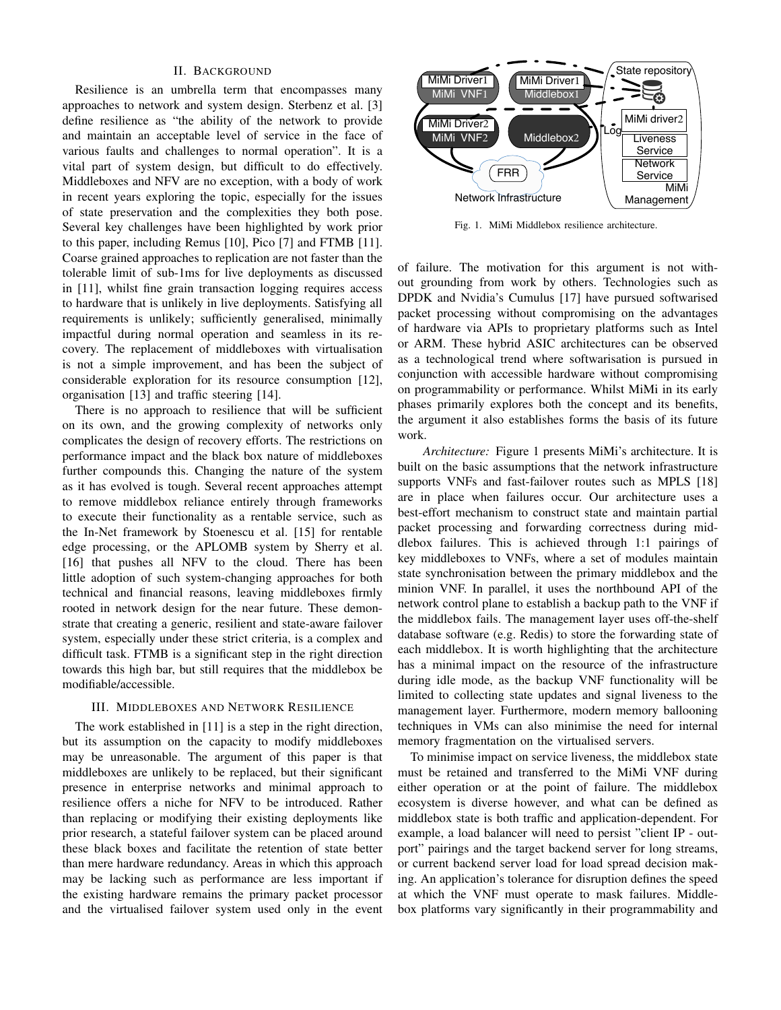# II. BACKGROUND

Resilience is an umbrella term that encompasses many approaches to network and system design. Sterbenz et al. [3] define resilience as "the ability of the network to provide and maintain an acceptable level of service in the face of various faults and challenges to normal operation". It is a vital part of system design, but difficult to do effectively. Middleboxes and NFV are no exception, with a body of work in recent years exploring the topic, especially for the issues of state preservation and the complexities they both pose. Several key challenges have been highlighted by work prior to this paper, including Remus [10], Pico [7] and FTMB [11]. Coarse grained approaches to replication are not faster than the tolerable limit of sub-1ms for live deployments as discussed in [11], whilst fine grain transaction logging requires access to hardware that is unlikely in live deployments. Satisfying all requirements is unlikely; sufficiently generalised, minimally impactful during normal operation and seamless in its recovery. The replacement of middleboxes with virtualisation is not a simple improvement, and has been the subject of considerable exploration for its resource consumption [12], organisation [13] and traffic steering [14].

There is no approach to resilience that will be sufficient on its own, and the growing complexity of networks only complicates the design of recovery efforts. The restrictions on performance impact and the black box nature of middleboxes further compounds this. Changing the nature of the system as it has evolved is tough. Several recent approaches attempt to remove middlebox reliance entirely through frameworks to execute their functionality as a rentable service, such as the In-Net framework by Stoenescu et al. [15] for rentable edge processing, or the APLOMB system by Sherry et al. [16] that pushes all NFV to the cloud. There has been little adoption of such system-changing approaches for both technical and financial reasons, leaving middleboxes firmly rooted in network design for the near future. These demonstrate that creating a generic, resilient and state-aware failover system, especially under these strict criteria, is a complex and difficult task. FTMB is a significant step in the right direction towards this high bar, but still requires that the middlebox be modifiable/accessible.

# III. MIDDLEBOXES AND NETWORK RESILIENCE

The work established in [11] is a step in the right direction, but its assumption on the capacity to modify middleboxes may be unreasonable. The argument of this paper is that middleboxes are unlikely to be replaced, but their significant presence in enterprise networks and minimal approach to resilience offers a niche for NFV to be introduced. Rather than replacing or modifying their existing deployments like prior research, a stateful failover system can be placed around these black boxes and facilitate the retention of state better than mere hardware redundancy. Areas in which this approach may be lacking such as performance are less important if the existing hardware remains the primary packet processor and the virtualised failover system used only in the event



Fig. 1. MiMi Middlebox resilience architecture.

of failure. The motivation for this argument is not without grounding from work by others. Technologies such as DPDK and Nvidia's Cumulus [17] have pursued softwarised packet processing without compromising on the advantages of hardware via APIs to proprietary platforms such as Intel or ARM. These hybrid ASIC architectures can be observed as a technological trend where softwarisation is pursued in conjunction with accessible hardware without compromising on programmability or performance. Whilst MiMi in its early phases primarily explores both the concept and its benefits, the argument it also establishes forms the basis of its future work.

*Architecture:* Figure 1 presents MiMi's architecture. It is built on the basic assumptions that the network infrastructure supports VNFs and fast-failover routes such as MPLS [18] are in place when failures occur. Our architecture uses a best-effort mechanism to construct state and maintain partial packet processing and forwarding correctness during middlebox failures. This is achieved through 1:1 pairings of key middleboxes to VNFs, where a set of modules maintain state synchronisation between the primary middlebox and the minion VNF. In parallel, it uses the northbound API of the network control plane to establish a backup path to the VNF if the middlebox fails. The management layer uses off-the-shelf database software (e.g. Redis) to store the forwarding state of each middlebox. It is worth highlighting that the architecture has a minimal impact on the resource of the infrastructure during idle mode, as the backup VNF functionality will be limited to collecting state updates and signal liveness to the management layer. Furthermore, modern memory ballooning techniques in VMs can also minimise the need for internal memory fragmentation on the virtualised servers.

To minimise impact on service liveness, the middlebox state must be retained and transferred to the MiMi VNF during either operation or at the point of failure. The middlebox ecosystem is diverse however, and what can be defined as middlebox state is both traffic and application-dependent. For example, a load balancer will need to persist "client IP - outport" pairings and the target backend server for long streams, or current backend server load for load spread decision making. An application's tolerance for disruption defines the speed at which the VNF must operate to mask failures. Middlebox platforms vary significantly in their programmability and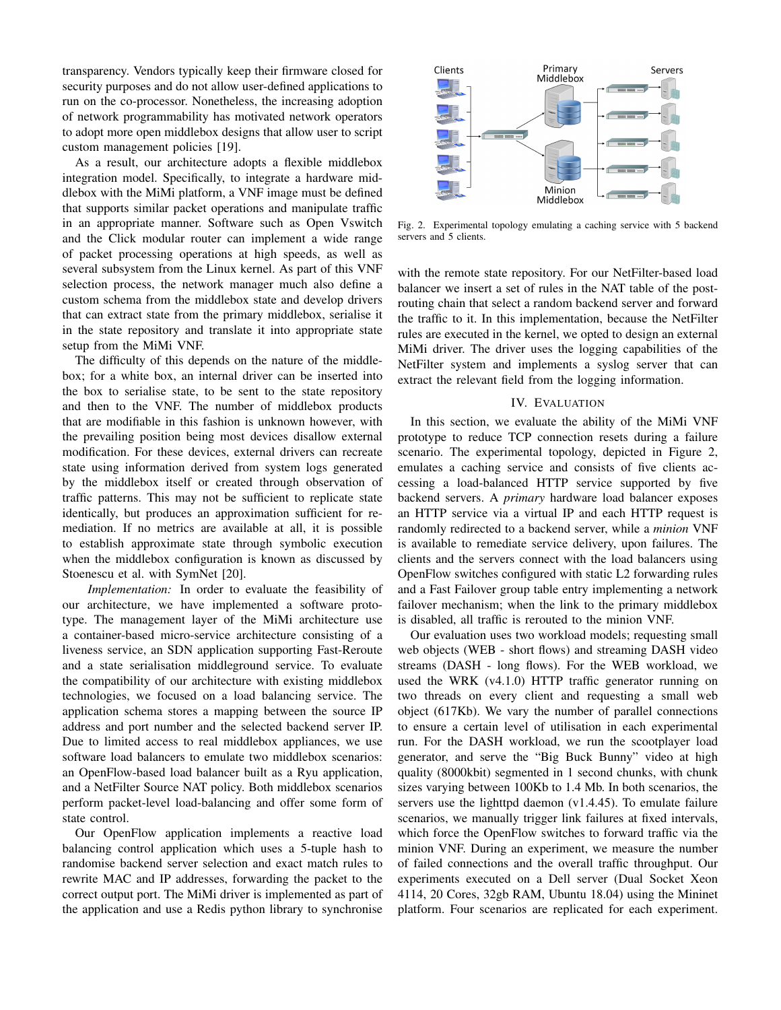transparency. Vendors typically keep their firmware closed for security purposes and do not allow user-defined applications to run on the co-processor. Nonetheless, the increasing adoption of network programmability has motivated network operators to adopt more open middlebox designs that allow user to script custom management policies [19].

As a result, our architecture adopts a flexible middlebox integration model. Specifically, to integrate a hardware middlebox with the MiMi platform, a VNF image must be defined that supports similar packet operations and manipulate traffic in an appropriate manner. Software such as Open Vswitch and the Click modular router can implement a wide range of packet processing operations at high speeds, as well as several subsystem from the Linux kernel. As part of this VNF selection process, the network manager much also define a custom schema from the middlebox state and develop drivers that can extract state from the primary middlebox, serialise it in the state repository and translate it into appropriate state setup from the MiMi VNF.

The difficulty of this depends on the nature of the middlebox; for a white box, an internal driver can be inserted into the box to serialise state, to be sent to the state repository and then to the VNF. The number of middlebox products that are modifiable in this fashion is unknown however, with the prevailing position being most devices disallow external modification. For these devices, external drivers can recreate state using information derived from system logs generated by the middlebox itself or created through observation of traffic patterns. This may not be sufficient to replicate state identically, but produces an approximation sufficient for remediation. If no metrics are available at all, it is possible to establish approximate state through symbolic execution when the middlebox configuration is known as discussed by Stoenescu et al. with SymNet [20].

*Implementation:* In order to evaluate the feasibility of our architecture, we have implemented a software prototype. The management layer of the MiMi architecture use a container-based micro-service architecture consisting of a liveness service, an SDN application supporting Fast-Reroute and a state serialisation middleground service. To evaluate the compatibility of our architecture with existing middlebox technologies, we focused on a load balancing service. The application schema stores a mapping between the source IP address and port number and the selected backend server IP. Due to limited access to real middlebox appliances, we use software load balancers to emulate two middlebox scenarios: an OpenFlow-based load balancer built as a Ryu application, and a NetFilter Source NAT policy. Both middlebox scenarios perform packet-level load-balancing and offer some form of state control.

Our OpenFlow application implements a reactive load balancing control application which uses a 5-tuple hash to randomise backend server selection and exact match rules to rewrite MAC and IP addresses, forwarding the packet to the correct output port. The MiMi driver is implemented as part of the application and use a Redis python library to synchronise



Fig. 2. Experimental topology emulating a caching service with 5 backend servers and 5 clients.

with the remote state repository. For our NetFilter-based load balancer we insert a set of rules in the NAT table of the postrouting chain that select a random backend server and forward the traffic to it. In this implementation, because the NetFilter rules are executed in the kernel, we opted to design an external MiMi driver. The driver uses the logging capabilities of the NetFilter system and implements a syslog server that can extract the relevant field from the logging information.

### IV. EVALUATION

In this section, we evaluate the ability of the MiMi VNF prototype to reduce TCP connection resets during a failure scenario. The experimental topology, depicted in Figure 2, emulates a caching service and consists of five clients accessing a load-balanced HTTP service supported by five backend servers. A *primary* hardware load balancer exposes an HTTP service via a virtual IP and each HTTP request is randomly redirected to a backend server, while a *minion* VNF is available to remediate service delivery, upon failures. The clients and the servers connect with the load balancers using OpenFlow switches configured with static L2 forwarding rules and a Fast Failover group table entry implementing a network failover mechanism; when the link to the primary middlebox is disabled, all traffic is rerouted to the minion VNF.

Our evaluation uses two workload models; requesting small web objects (WEB - short flows) and streaming DASH video streams (DASH - long flows). For the WEB workload, we used the WRK (v4.1.0) HTTP traffic generator running on two threads on every client and requesting a small web object (617Kb). We vary the number of parallel connections to ensure a certain level of utilisation in each experimental run. For the DASH workload, we run the scootplayer load generator, and serve the "Big Buck Bunny" video at high quality (8000kbit) segmented in 1 second chunks, with chunk sizes varying between 100Kb to 1.4 Mb. In both scenarios, the servers use the lighttpd daemon (v1.4.45). To emulate failure scenarios, we manually trigger link failures at fixed intervals, which force the OpenFlow switches to forward traffic via the minion VNF. During an experiment, we measure the number of failed connections and the overall traffic throughput. Our experiments executed on a Dell server (Dual Socket Xeon 4114, 20 Cores, 32gb RAM, Ubuntu 18.04) using the Mininet platform. Four scenarios are replicated for each experiment.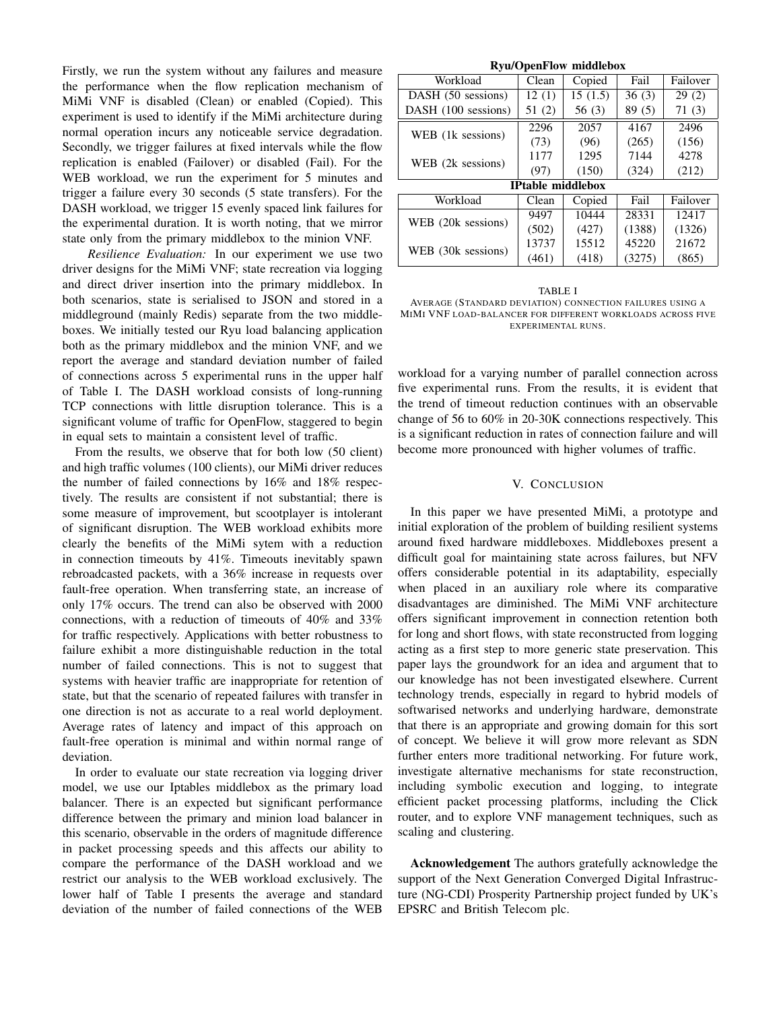Firstly, we run the system without any failures and measure the performance when the flow replication mechanism of MiMi VNF is disabled (Clean) or enabled (Copied). This experiment is used to identify if the MiMi architecture during normal operation incurs any noticeable service degradation. Secondly, we trigger failures at fixed intervals while the flow replication is enabled (Failover) or disabled (Fail). For the WEB workload, we run the experiment for 5 minutes and trigger a failure every 30 seconds (5 state transfers). For the DASH workload, we trigger 15 evenly spaced link failures for the experimental duration. It is worth noting, that we mirror state only from the primary middlebox to the minion VNF.

*Resilience Evaluation:* In our experiment we use two driver designs for the MiMi VNF; state recreation via logging and direct driver insertion into the primary middlebox. In both scenarios, state is serialised to JSON and stored in a middleground (mainly Redis) separate from the two middleboxes. We initially tested our Ryu load balancing application both as the primary middlebox and the minion VNF, and we report the average and standard deviation number of failed of connections across 5 experimental runs in the upper half of Table I. The DASH workload consists of long-running TCP connections with little disruption tolerance. This is a significant volume of traffic for OpenFlow, staggered to begin in equal sets to maintain a consistent level of traffic.

From the results, we observe that for both low (50 client) and high traffic volumes (100 clients), our MiMi driver reduces the number of failed connections by 16% and 18% respectively. The results are consistent if not substantial; there is some measure of improvement, but scootplayer is intolerant of significant disruption. The WEB workload exhibits more clearly the benefits of the MiMi sytem with a reduction in connection timeouts by 41%. Timeouts inevitably spawn rebroadcasted packets, with a 36% increase in requests over fault-free operation. When transferring state, an increase of only 17% occurs. The trend can also be observed with 2000 connections, with a reduction of timeouts of 40% and 33% for traffic respectively. Applications with better robustness to failure exhibit a more distinguishable reduction in the total number of failed connections. This is not to suggest that systems with heavier traffic are inappropriate for retention of state, but that the scenario of repeated failures with transfer in one direction is not as accurate to a real world deployment. Average rates of latency and impact of this approach on fault-free operation is minimal and within normal range of deviation.

In order to evaluate our state recreation via logging driver model, we use our Iptables middlebox as the primary load balancer. There is an expected but significant performance difference between the primary and minion load balancer in this scenario, observable in the orders of magnitude difference in packet processing speeds and this affects our ability to compare the performance of the DASH workload and we restrict our analysis to the WEB workload exclusively. The lower half of Table I presents the average and standard deviation of the number of failed connections of the WEB

| <b>Ryd/OpenFlow Iniquicion</b> |        |         |        |          |
|--------------------------------|--------|---------|--------|----------|
| Workload                       | Clean  | Copied  | Fail   | Failover |
| DASH (50 sessions)             | 12(1)  | 15(1.5) | 36(3)  | 29(2)    |
| DASH (100 sessions)            | 51 (2) | 56 (3)  | 89 (5) | 71 (3)   |
| WEB (1k sessions)              | 2296   | 2057    | 4167   | 2496     |
|                                | (73)   | (96)    | (265)  | (156)    |
| WEB (2k sessions)              | 1177   | 1295    | 7144   | 4278     |
|                                | (97)   | (150)   | (324)  | (212)    |
| <b>IPtable middlebox</b>       |        |         |        |          |
| Workload                       | Clean  | Copied  | Fail   | Failover |
| WEB (20k sessions)             | 9497   | 10444   | 28331  | 12417    |
|                                | (502)  | (427)   | (1388) | (1326)   |
| WEB (30k sessions)             | 13737  | 15512   | 45220  | 21672    |
|                                | (461)  | (418)   | (3275) | (865)    |

#### TABLE I

AVERAGE (STANDARD DEVIATION) CONNECTION FAILURES USING A MIMI VNF LOAD-BALANCER FOR DIFFERENT WORKLOADS ACROSS FIVE EXPERIMENTAL RUNS.

workload for a varying number of parallel connection across five experimental runs. From the results, it is evident that the trend of timeout reduction continues with an observable change of 56 to 60% in 20-30K connections respectively. This is a significant reduction in rates of connection failure and will become more pronounced with higher volumes of traffic.

## V. CONCLUSION

In this paper we have presented MiMi, a prototype and initial exploration of the problem of building resilient systems around fixed hardware middleboxes. Middleboxes present a difficult goal for maintaining state across failures, but NFV offers considerable potential in its adaptability, especially when placed in an auxiliary role where its comparative disadvantages are diminished. The MiMi VNF architecture offers significant improvement in connection retention both for long and short flows, with state reconstructed from logging acting as a first step to more generic state preservation. This paper lays the groundwork for an idea and argument that to our knowledge has not been investigated elsewhere. Current technology trends, especially in regard to hybrid models of softwarised networks and underlying hardware, demonstrate that there is an appropriate and growing domain for this sort of concept. We believe it will grow more relevant as SDN further enters more traditional networking. For future work, investigate alternative mechanisms for state reconstruction, including symbolic execution and logging, to integrate efficient packet processing platforms, including the Click router, and to explore VNF management techniques, such as scaling and clustering.

Acknowledgement The authors gratefully acknowledge the support of the Next Generation Converged Digital Infrastructure (NG-CDI) Prosperity Partnership project funded by UK's EPSRC and British Telecom plc.

Ryu/OpenFlow middlebox